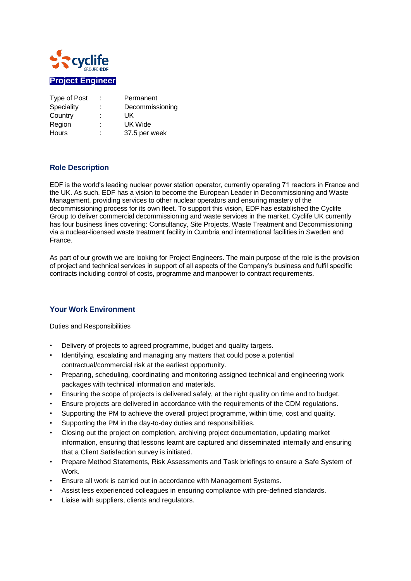

| Type of Post | t.     | Permanent       |
|--------------|--------|-----------------|
| Speciality   | ÷      | Decommissioning |
| Country      | ٠<br>٠ | UK              |
| Region       | t      | UK Wide         |
| <b>Hours</b> | ٠<br>٠ | 37.5 per week   |

## **Role Description**

EDF is the world's leading nuclear power station operator, currently operating 71 reactors in France and the UK. As such, EDF has a vision to become the European Leader in Decommissioning and Waste Management, providing services to other nuclear operators and ensuring mastery of the decommissioning process for its own fleet. To support this vision, EDF has established the Cyclife Group to deliver commercial decommissioning and waste services in the market. Cyclife UK currently has four business lines covering: Consultancy, Site Projects, Waste Treatment and Decommissioning via a nuclear-licensed waste treatment facility in Cumbria and international facilities in Sweden and France.

As part of our growth we are looking for Project Engineers. The main purpose of the role is the provision of project and technical services in support of all aspects of the Company's business and fulfil specific contracts including control of costs, programme and manpower to contract requirements.

## **Your Work Environment**

Duties and Responsibilities

- Delivery of projects to agreed programme, budget and quality targets.
- Identifying, escalating and managing any matters that could pose a potential contractual/commercial risk at the earliest opportunity.
- Preparing, scheduling, coordinating and monitoring assigned technical and engineering work packages with technical information and materials.
- Ensuring the scope of projects is delivered safely, at the right quality on time and to budget.
- Ensure projects are delivered in accordance with the requirements of the CDM regulations.
- Supporting the PM to achieve the overall project programme, within time, cost and quality.
- Supporting the PM in the day-to-day duties and responsibilities.
- Closing out the project on completion, archiving project documentation, updating market information, ensuring that lessons learnt are captured and disseminated internally and ensuring that a Client Satisfaction survey is initiated.
- Prepare Method Statements, Risk Assessments and Task briefings to ensure a Safe System of Work.
- Ensure all work is carried out in accordance with Management Systems.
- Assist less experienced colleagues in ensuring compliance with pre-defined standards.
- Liaise with suppliers, clients and regulators.